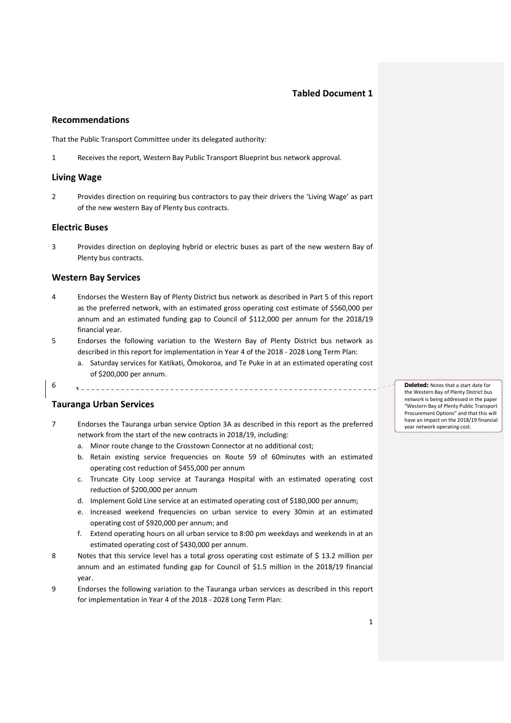## **Tabled Document 1**

### **Recommendations**

That the Public Transport Committee under its delegated authority:

1 Receives the report, Western Bay Public Transport Blueprint bus network approval.

### **Living Wage**

2 Provides direction on requiring bus contractors to pay their drivers the 'Living Wage' as part of the new western Bay of Plenty bus contracts.

### **Electric Buses**

3 Provides direction on deploying hybrid or electric buses as part of the new western Bay of Plenty bus contracts.

### **Western Bay Services**

- 4 Endorses the Western Bay of Plenty District bus network as described in Part 5 of this report as the preferred network, with an estimated gross operating cost estimate of \$560,000 per annum and an estimated funding gap to Council of \$112,000 per annum for the 2018/19 financial year.
- 5 Endorses the following variation to the Western Bay of Plenty District bus network as described in this report for implementation in Year 4 of the 2018 - 2028 Long Term Plan:
	- a. Saturday services for Katikati, Ōmokoroa, and Te Puke in at an estimated operating cost of \$200,000 per annum.

# 6

### **Tauranga Urban Services**

- 7 Endorses the Tauranga urban service Option 3A as described in this report as the preferred network from the start of the new contracts in 2018/19, including:
	- a. Minor route change to the Crosstown Connector at no additional cost;

- b. Retain existing service frequencies on Route 59 of 60minutes with an estimated operating cost reduction of \$455,000 per annum
- c. Truncate City Loop service at Tauranga Hospital with an estimated operating cost reduction of \$200,000 per annum
- d. Implement Gold Line service at an estimated operating cost of \$180,000 per annum;
- e. Increased weekend frequencies on urban service to every 30min at an estimated operating cost of \$920,000 per annum; and
- f. Extend operating hours on all urban service to 8:00 pm weekdays and weekends in at an estimated operating cost of \$430,000 per annum.
- 8 Notes that this service level has a total gross operating cost estimate of \$13.2 million per annum and an estimated funding gap for Council of \$1.5 million in the 2018/19 financial year.
- 9 Endorses the following variation to the Tauranga urban services as described in this report for implementation in Year 4 of the 2018 - 2028 Long Term Plan:

**Deleted:** Notes that a start date for the Western Bay of Plenty District bus network is being addressed in the paper "Western Bay of Plenty Public Transport Procurement Options" and that this will have an impact on the 2018/19 financial year network operating cost.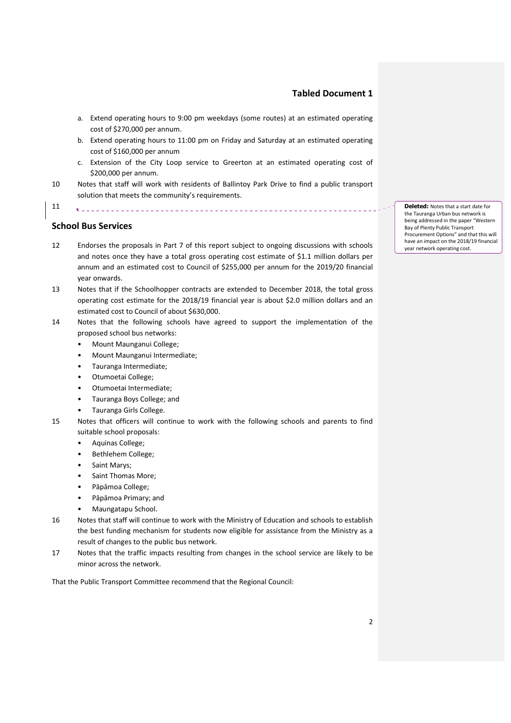### **Tabled Document 1**

- a. Extend operating hours to 9:00 pm weekdays (some routes) at an estimated operating cost of \$270,000 per annum.
- b. Extend operating hours to 11:00 pm on Friday and Saturday at an estimated operating cost of \$160,000 per annum
- c. Extension of the City Loop service to Greerton at an estimated operating cost of \$200,000 per annum.

\_\_\_\_\_\_\_\_\_\_\_\_\_\_\_\_\_\_\_\_\_\_\_\_\_\_\_\_\_\_

10 Notes that staff will work with residents of Ballintoy Park Drive to find a public transport solution that meets the community's requirements.

11

#### **School Bus Services**

- 12 Endorses the proposals in Part 7 of this report subject to ongoing discussions with schools and notes once they have a total gross operating cost estimate of \$1.1 million dollars per annum and an estimated cost to Council of \$255,000 per annum for the 2019/20 financial year onwards.
- 13 Notes that if the Schoolhopper contracts are extended to December 2018, the total gross operating cost estimate for the 2018/19 financial year is about \$2.0 million dollars and an estimated cost to Council of about \$630,000.
- 14 Notes that the following schools have agreed to support the implementation of the proposed school bus networks:
	- Mount Maunganui College;
	- Mount Maunganui Intermediate;
	- Tauranga Intermediate;
	- Otumoetai College;
	- Otumoetai Intermediate;
	- Tauranga Boys College; and
	- Tauranga Girls College.
- 15 Notes that officers will continue to work with the following schools and parents to find suitable school proposals:
	- Aquinas College;
	- Bethlehem College;
	- Saint Marys;
	- Saint Thomas More;
	- Pāpāmoa College;
	- Pāpāmoa Primary; and
	- Maungatapu School.
- 16 Notes that staff will continue to work with the Ministry of Education and schools to establish the best funding mechanism for students now eligible for assistance from the Ministry as a result of changes to the public bus network.
- 17 Notes that the traffic impacts resulting from changes in the school service are likely to be minor across the network.

That the Public Transport Committee recommend that the Regional Council:

**Deleted:** Notes that a start date for the Tauranga Urban bus network is being addressed in the paper "Western Bay of Plenty Public Transport Procurement Options" and that this will have an impact on the 2018/19 financial year network operating cost.